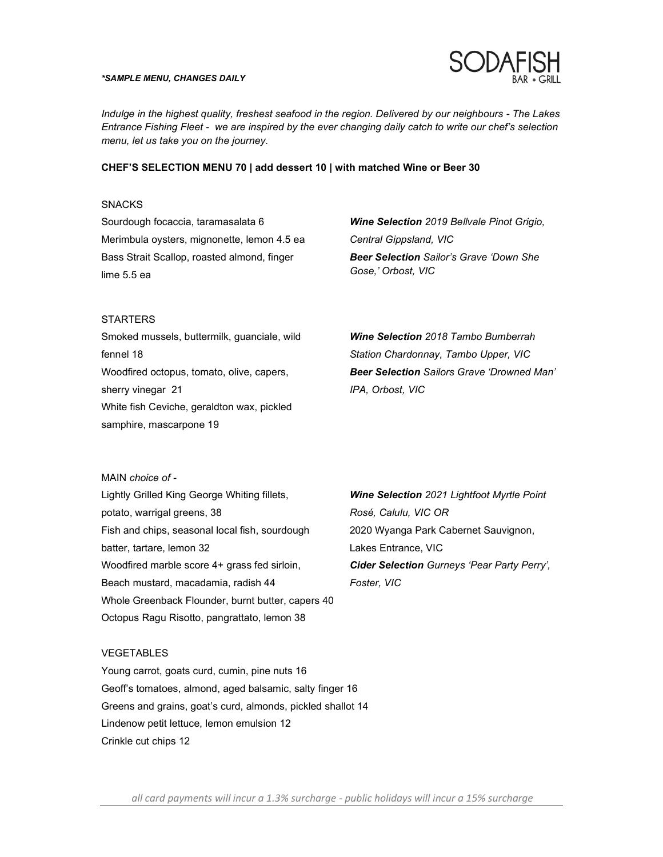#### *\*SAMPLE MENU, CHANGES DAILY*



*Indulge in the highest quality, freshest seafood in the region. Delivered by our neighbours - The Lakes Entrance Fishing Fleet - we are inspired by the ever changing daily catch to write our chef's selection menu, let us take you on the journey.* 

### **CHEF'S SELECTION MENU 70 | add dessert 10 | with matched Wine or Beer 30**

### **SNACKS**

Sourdough focaccia, taramasalata 6 Merimbula oysters, mignonette, lemon 4.5 ea Bass Strait Scallop, roasted almond, finger lime 5.5 ea

*Wine Selection 2019 Bellvale Pinot Grigio, Central Gippsland, VIC Beer Selection Sailor's Grave 'Down She Gose,' Orbost, VIC* 

#### **STARTERS**

Smoked mussels, buttermilk, guanciale, wild fennel 18 Woodfired octopus, tomato, olive, capers, sherry vinegar 21 White fish Ceviche, geraldton wax, pickled samphire, mascarpone 19

*Wine Selection 2018 Tambo Bumberrah Station Chardonnay, Tambo Upper, VIC Beer Selection Sailors Grave 'Drowned Man' IPA, Orbost, VIC*

### MAIN *choice of -*

Lightly Grilled King George Whiting fillets, potato, warrigal greens, 38 Fish and chips, seasonal local fish, sourdough batter, tartare, lemon 32 Woodfired marble score 4+ grass fed sirloin, Beach mustard, macadamia, radish 44 Whole Greenback Flounder, burnt butter, capers 40 Octopus Ragu Risotto, pangrattato, lemon 38

*Wine Selection 2021 Lightfoot Myrtle Point Rosé, Calulu, VIC OR*  2020 Wyanga Park Cabernet Sauvignon, Lakes Entrance, VIC *Cider Selection Gurneys 'Pear Party Perry', Foster, VIC* 

#### VEGETABLES

Young carrot, goats curd, cumin, pine nuts 16 Geoff's tomatoes, almond, aged balsamic, salty finger 16 Greens and grains, goat's curd, almonds, pickled shallot 14 Lindenow petit lettuce, lemon emulsion 12 Crinkle cut chips 12

 *all card payments will incur a 1.3% surcharge public holidays will incur a 15% surcharge*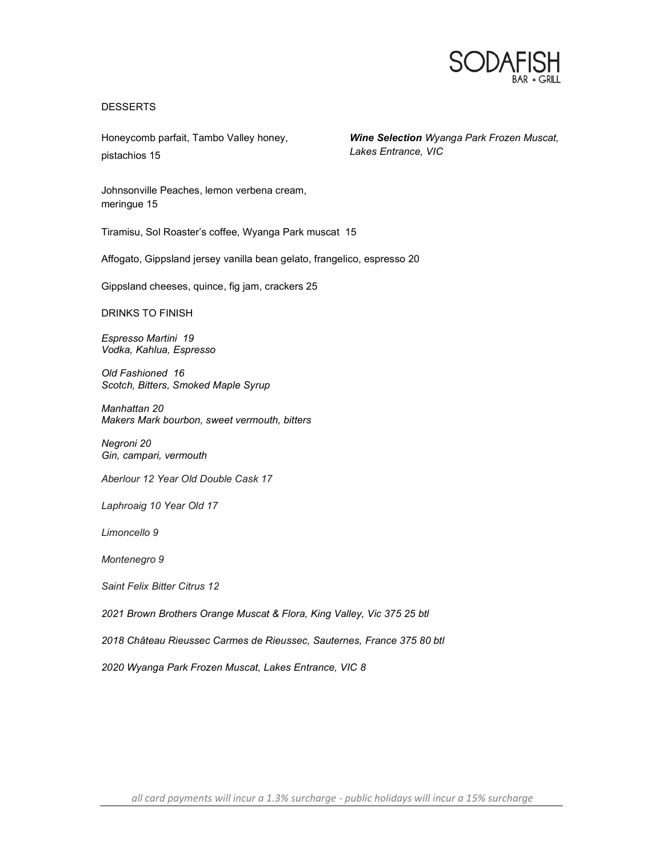

## DESSERTS

Honeycomb parfait, Tambo Valley honey, pistachios 15

*Wine Selection Wyanga Park Frozen Muscat, Lakes Entrance, VIC*

Johnsonville Peaches, lemon verbena cream, meringue 15

Tiramisu, Sol Roaster's coffee, Wyanga Park muscat 15

Affogato, Gippsland jersey vanilla bean gelato, frangelico, espresso 20

Gippsland cheeses, quince, fig jam, crackers 25

DRINKS TO FINISH

*Espresso Martini 19 Vodka, Kahlua, Espresso* 

*Old Fashioned 16 Scotch, Bitters, Smoked Maple Syrup* 

*Manhattan 20 Makers Mark bourbon, sweet vermouth, bitters* 

*Negroni 20 Gin, campari, vermouth* 

*Aberlour 12 Year Old Double Cask 17* 

*Laphroaig 10 Year Old 17*

*Limoncello 9* 

*Montenegro 9* 

*Saint Felix Bitter Citrus 12*

*2021 Brown Brothers Orange Muscat & Flora, King Valley, Vic 375 25 btl* 

*2018 Château Rieussec Carmes de Rieussec, Sauternes, France 375 80 btl* 

*2020 Wyanga Park Frozen Muscat, Lakes Entrance, VIC 8* 

 *all card payments will incur a 1.3% surcharge public holidays will incur a 15% surcharge*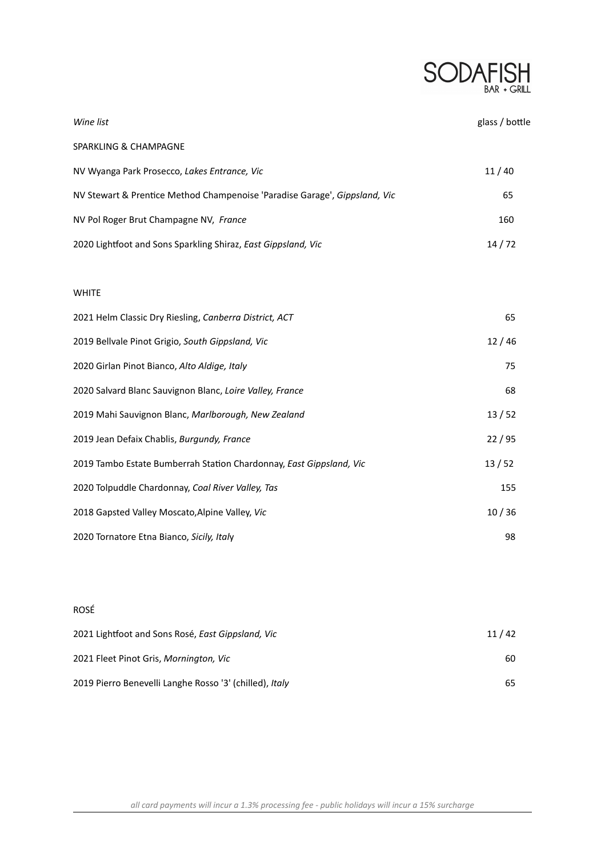

| Wine list                                                                  | glass / bottle |
|----------------------------------------------------------------------------|----------------|
| SPARKLING & CHAMPAGNE                                                      |                |
| NV Wyanga Park Prosecco, Lakes Entrance, Vic                               | 11/40          |
| NV Stewart & Prentice Method Champenoise 'Paradise Garage', Gippsland, Vic | 65             |
| NV Pol Roger Brut Champagne NV, France                                     | 160            |
| 2020 Lightfoot and Sons Sparkling Shiraz, East Gippsland, Vic              | 14/72          |
|                                                                            |                |
| <b>WHITE</b>                                                               |                |
| 2021 Helm Classic Dry Riesling, Canberra District, ACT                     | 65             |
| 2019 Bellvale Pinot Grigio, South Gippsland, Vic                           | 12/46          |
| 2020 Girlan Pinot Bianco, Alto Aldige, Italy                               | 75             |
| 2020 Salvard Blanc Sauvignon Blanc, Loire Valley, France                   | 68             |
| 2019 Mahi Sauvignon Blanc, Marlborough, New Zealand                        | 13/52          |
| 2019 Jean Defaix Chablis, Burgundy, France                                 | 22/95          |
| 2019 Tambo Estate Bumberrah Station Chardonnay, East Gippsland, Vic        | 13/52          |
| 2020 Tolpuddle Chardonnay, Coal River Valley, Tas                          | 155            |
| 2018 Gapsted Valley Moscato, Alpine Valley, Vic                            | 10/36          |

# ROSÉ

| 2021 Lightfoot and Sons Rosé, East Gippsland, Vic                                                 | 11/42 |
|---------------------------------------------------------------------------------------------------|-------|
| 2021 Fleet Pinot Gris, Mornington, Vic<br>2019 Pierro Benevelli Langhe Rosso '3' (chilled), Italy | 60.   |
|                                                                                                   | 65.   |

Tornatore Etna Bianco, *Sicily, Ital*y 98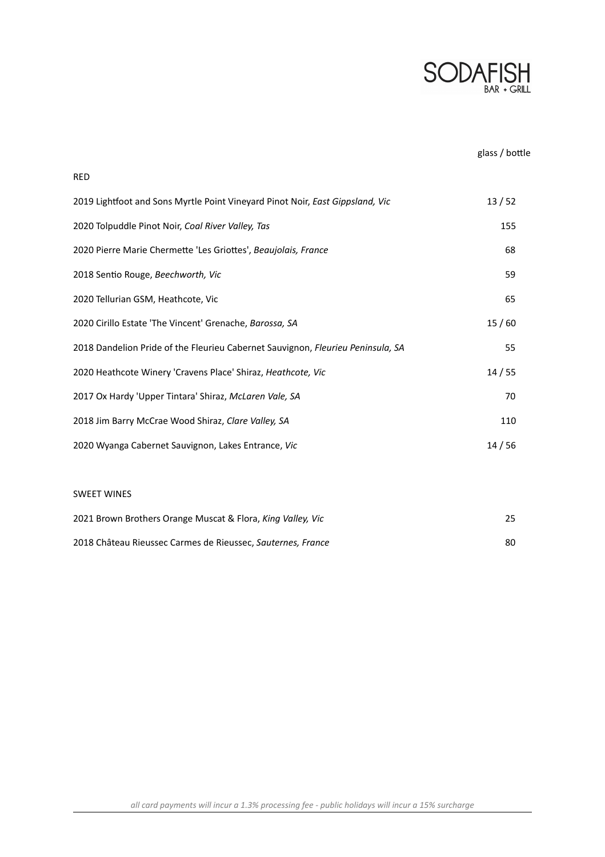

# glass / bottle

| 2019 Lightfoot and Sons Myrtle Point Vineyard Pinot Noir, East Gippsland, Vic   | 13/52 |
|---------------------------------------------------------------------------------|-------|
| 2020 Tolpuddle Pinot Noir, Coal River Valley, Tas                               | 155   |
| 2020 Pierre Marie Chermette 'Les Griottes', Beaujolais, France                  | 68    |
| 2018 Sentio Rouge, Beechworth, Vic                                              | 59    |
| 2020 Tellurian GSM, Heathcote, Vic                                              | 65    |
| 2020 Cirillo Estate 'The Vincent' Grenache, Barossa, SA                         | 15/60 |
| 2018 Dandelion Pride of the Fleurieu Cabernet Sauvignon, Fleurieu Peninsula, SA | 55    |
| 2020 Heathcote Winery 'Cravens Place' Shiraz, Heathcote, Vic                    | 14/55 |
| 2017 Ox Hardy 'Upper Tintara' Shiraz, McLaren Vale, SA                          | 70    |
| 2018 Jim Barry McCrae Wood Shiraz, Clare Valley, SA                             | 110   |
| 2020 Wyanga Cabernet Sauvignon, Lakes Entrance, Vic                             | 14/56 |
|                                                                                 |       |

## SWEET WINES

RED

| 2021 Brown Brothers Orange Muscat & Flora, King Valley, Vic | 25 |
|-------------------------------------------------------------|----|
| 2018 Château Rieussec Carmes de Rieussec, Sauternes, France | 80 |